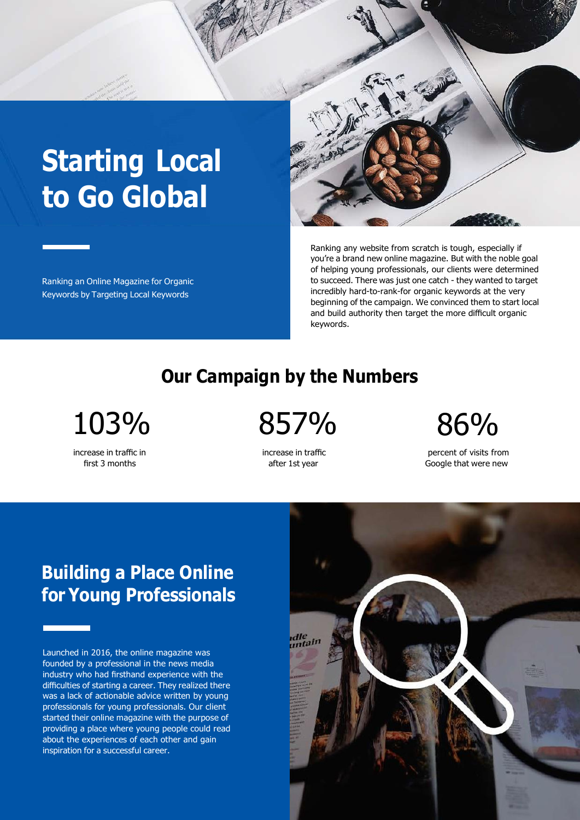# **Starting Local to Go Global**

Ranking an Online Magazine for Organic Keywords by Targeting Local Keywords



Ranking any website from scratch is tough, especially if you're a brand new online magazine. But with the noble goal of helping young professionals, our clients were determined to succeed. There was just one catch - they wanted to target incredibly hard-to-rank-for organic keywords at the very beginning of the campaign. We convinced them to start local and build authority then target the more difficult organic keywords.

#### **Our Campaign by the Numbers**

increase in traffic in first 3 months

103% 857% 86%

increase in traffic after 1st year

percent of visits from Google that were new

# **Building a Place Online for Young Professionals**

Launched in 2016, the online magazine was founded by a professional in the news media industry who had firsthand experience with the difficulties of starting a career. They realized there was a lack of actionable advice written by young professionals for young professionals. Our client started their online magazine with the purpose of providing a place where young people could read about the experiences of each other and gain inspiration for a successful career.

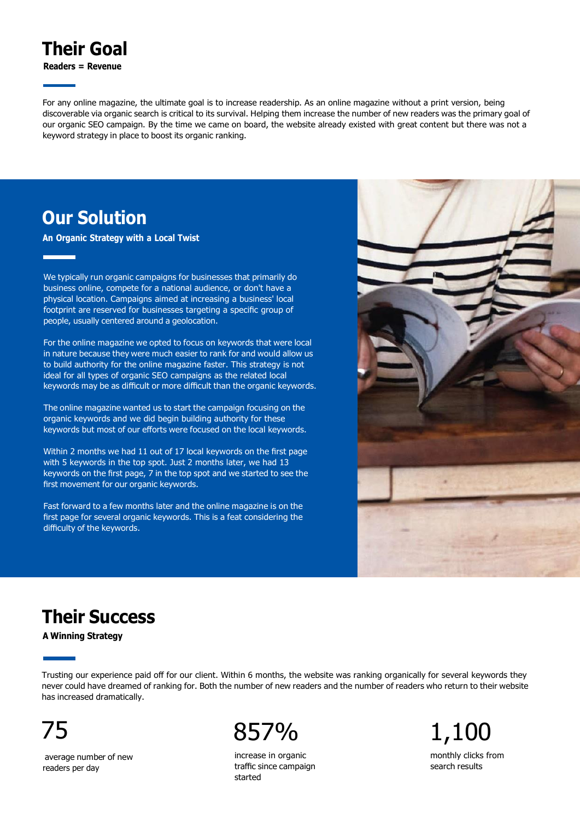## **Their Goal**

**Readers = Revenue**

For any online magazine, the ultimate goal is to increase readership. As an online magazine without a print version, being discoverable via organic search is critical to its survival. Helping them increase the number of new readers was the primary goal of our organic SEO campaign. By the time we came on board, the website already existed with great content but there was not a keyword strategy in place to boost its organic ranking.

#### **Our Solution**

**An Organic Strategy with a Local Twist**

We typically run organic campaigns for businesses that primarily do business online, compete for a national audience, or don't have a physical location. Campaigns aimed at increasing a business' local footprint are reserved for businesses targeting a specific group of people, usually centered around a geolocation.

For the online magazine we opted to focus on keywords that were local in nature because they were much easier to rank for and would allow us to build authority for the online magazine faster. This strategy is not ideal for all types of organic SEO campaigns as the related local keywords may be as difficult or more difficult than the organic keywords.

The online magazine wanted us to start the campaign focusing on the organic keywords and we did begin building authority for these keywords but most of our efforts were focused on the local keywords.

Within 2 months we had 11 out of 17 local keywords on the first page with 5 keywords in the top spot. Just 2 months later, we had 13 keywords on the first page, 7 in the top spot and we started to see the first movement for our organic keywords.

Fast forward to a few months later and the online magazine is on the first page for several organic keywords. This is a feat considering the difficulty of the keywords.



# **Their Success**

**A Winning Strategy**

Trusting our experience paid off for our client. Within 6 months, the website was ranking organically for several keywords they never could have dreamed of ranking for. Both the number of new readers and the number of readers who return to their website has increased dramatically.

average number of new readers per day



increase in organic traffic since campaign started

monthly clicks from search results